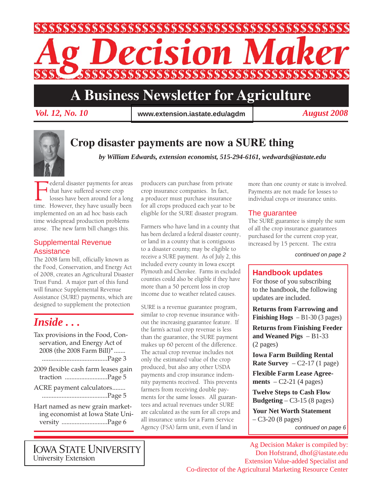

# **A Business Newsletter for Agriculture**

*Vol. 12, No. 10 August 2008* **www.extension.iastate.edu/agdm**



# **Crop disaster payments are now a SURE thing**

*by William Edwards, extension economist, 515-294-6161, wedwards@iastate.edu*

Federal disaster payments for areas<br>that have suffered severe crop<br>losses have been around for a long<br>time. However, they have usually been  $\overline{\phantom{a}}$  that have suffered severe crop losses have been around for a long implemented on an ad hoc basis each time widespread production problems arose. The new farm bill changes this.

### Supplemental Revenue **Assistance**

The 2008 farm bill, officially known as the Food, Conservation, and Energy Act of 2008, creates an Agricultural Disaster Trust Fund. A major part of this fund will finance Supplemental Revenue Assistance (SURE) payments, which are designed to supplement the protection

# *Inside . . .*

- Tax provisions in the Food, Conservation, and Energy Act of 2008 (the 2008 Farm Bill)\* ....... ........................................Page 3
- 2009 flexible cash farm leases gain traction ..........................Page 5
- ACRE payment calculators........ ........................................Page 5

Hart named as new grain marketing economist at Iowa State University ............................Page 6

producers can purchase from private crop insurance companies. In fact, a producer must purchase insurance for all crops produced each year to be eligible for the SURE disaster program.

Farmers who have land in a county that has been declared a federal disaster county, or land in a county that is contiguous to a disaster county, may be eligible to receive a SURE payment. As of July 2, this included every county in Iowa except Plymouth and Cherokee. Farms in excluded counties could also be eligible if they have more than a 50 percent loss in crop income due to weather related causes.

SURE is a revenue guarantee program, similar to crop revenue insurance without the increasing guarantee feature. If the farm's actual crop revenue is less than the guarantee, the SURE payment makes up 60 percent of the difference. The actual crop revenue includes not only the estimated value of the crop produced, but also any other USDA payments and crop insurance indemnity payments received. This prevents farmers from receiving double payments for the same losses. All guarantees and actual revenues under SURE are calculated as the sum for all crops and all insurance units for a Farm Service Agency (FSA) farm unit, even if land in

more than one county or state is involved. Payments are not made for losses to individual crops or insurance units.

### The guarantee

The SURE guarantee is simply the sum of all the crop insurance guarantees purchased for the current crop year, increased by 15 percent. The extra

*continued on page 2*

### **Handbook updates**

For those of you subscribing to the handbook, the following updates are included.

**Returns from Farrowing and Finishing Hogs** – B1-30 (3 pages)

**Returns from Finishing Feeder and Weaned Pigs** – B1-33 (2 pages)

**Iowa Farm Building Rental Rate Survey**  $-$  C2-17 (1 page)

**Flexible Farm Lease Agreements** – C2-21 (4 pages)

**Twelve Steps to Cash Flow Budgeting** – C3-15 (8 pages)

**Your Net Worth Statement**  – C3-20 (8 pages)

Ag Decision Maker is compiled by: Don Hofstrand, dhof@iastate.edu Extension Value-added Specialist and Co-director of the Agricultural Marketing Resource Center

**IOWA STATE UNIVERSITY University Extension** 

*continued on page 6*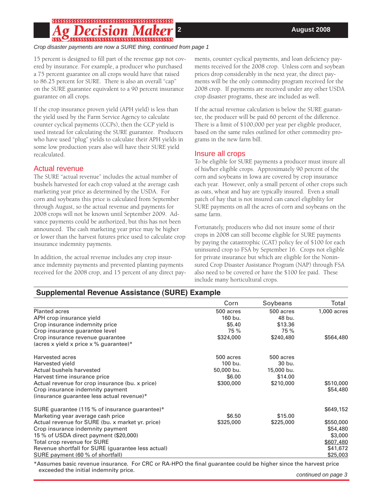*Crop disaster payments are now a SURE thing, continued from page 1*

15 percent is designed to fill part of the revenue gap not covered by insurance. For example, a producer who purchased a 75 percent guarantee on all crops would have that raised to 86.25 percent for SURE. There is also an overall "cap" on the SURE guarantee equivalent to a 90 percent insurance guarantee on all crops.

If the crop insurance proven yield (APH yield) is less than the yield used by the Farm Service Agency to calculate counter cyclical payments (CCPs), then the CCP yield is used instead for calculating the SURE guarantee. Producers who have used "plug" yields to calculate their APH yields in some low production years also will have their SURE yield recalculated.

## Actual revenue

The SURE "actual revenue" includes the actual number of bushels harvested for each crop valued at the average cash marketing year price as determined by the USDA. For corn and soybeans this price is calculated from September through August, so the actual revenue and payments for 2008 crops will not be known until September 2009. Advance payments could be authorized, but this has not been announced. The cash marketing year price may be higher or lower than the harvest futures price used to calculate crop insurance indemnity payments.

In addition, the actual revenue includes any crop insurance indemnity payments and prevented planting payments received for the 2008 crop, and 15 percent of any direct payments, counter cyclical payments, and loan deficiency payments received for the 2008 crop. Unless corn and soybean prices drop considerably in the next year, the direct payments will be the only commodity program received for the 2008 crop. If payments are received under any other USDA crop disaster programs, these are included as well.

If the actual revenue calculation is below the SURE guarantee, the producer will be paid 60 percent of the difference. There is a limit of \$100,000 per year per eligible producer, based on the same rules outlined for other commodity programs in the new farm bill.

### Insure all crops

To be eligible for SURE payments a producer must insure all of his/her eligible crops. Approximately 90 percent of the corn and soybeans in Iowa are covered by crop insurance each year. However, only a small percent of other crops such as oats, wheat and hay are typically insured. Even a small patch of hay that is not insured can cancel eligibility for SURE payments on all the acres of corn and soybeans on the same farm.

Fortunately, producers who did not insure some of their crops in 2008 can still become eligible for SURE payments by paying the catastrophic (CAT) policy fee of \$100 for each uninsured crop to FSA by September 16. Crops not eligible for private insurance but which are eligible for the Noninsured Crop Disaster Assistance Program (NAP) through FSA also need to be covered or have the \$100 fee paid. These include many horticultural crops.

# **Supplemental Revenue Assistance (SURE) Example**

|                                                                            | Corn       | Soybeans   | Total       |
|----------------------------------------------------------------------------|------------|------------|-------------|
| <b>Planted acres</b>                                                       | 500 acres  | 500 acres  | 1,000 acres |
| APH crop insurance yield                                                   | 160 bu.    | 48 bu.     |             |
| Crop insurance indemnity price                                             | \$5.40     | \$13.36    |             |
| Crop insurance guarantee level                                             | 75 %       | 75 %       |             |
| Crop insurance revenue quarantee<br>(acres x yield x price x % guarantee)* | \$324,000  | \$240,480  | \$564,480   |
| Harvested acres                                                            | 500 acres  | 500 acres  |             |
| Harvested yield                                                            | 100 bu.    | 30 bu.     |             |
| Actual bushels harvested                                                   | 50,000 bu. | 15,000 bu. |             |
| Harvest time insurance price                                               | \$6.00     | \$14.00    |             |
| Actual revenue for crop insurance (bu. x price)                            | \$300,000  | \$210,000  | \$510,000   |
| Crop insurance indemnity payment                                           |            |            | \$54,480    |
| (insurance quarantee less actual revenue)*                                 |            |            |             |
| SURE guarantee (115 % of insurance guarantee)*                             |            |            | \$649,152   |
| Marketing year average cash price                                          | \$6.50     | \$15.00    |             |
| Actual revenue for SURE (bu. x market yr. price)                           | \$325,000  | \$225,000  | \$550,000   |
| Crop insurance indemnity payment                                           |            |            | \$54,480    |
| 15 % of USDA direct payment (\$20,000)                                     |            |            | \$3,000     |
| Total crop revenue for SURE                                                |            |            | \$607,480   |
| Revenue shortfall for SURE (guarantee less actual)                         |            |            | \$41,672    |
| SURE payment (60 % of shortfall)                                           |            |            | \$25,003    |

\*Assumes basic revenue insurance. For CRC or RA-HPO the final guarantee could be higher since the harvest price exceeded the initial indemnity price.